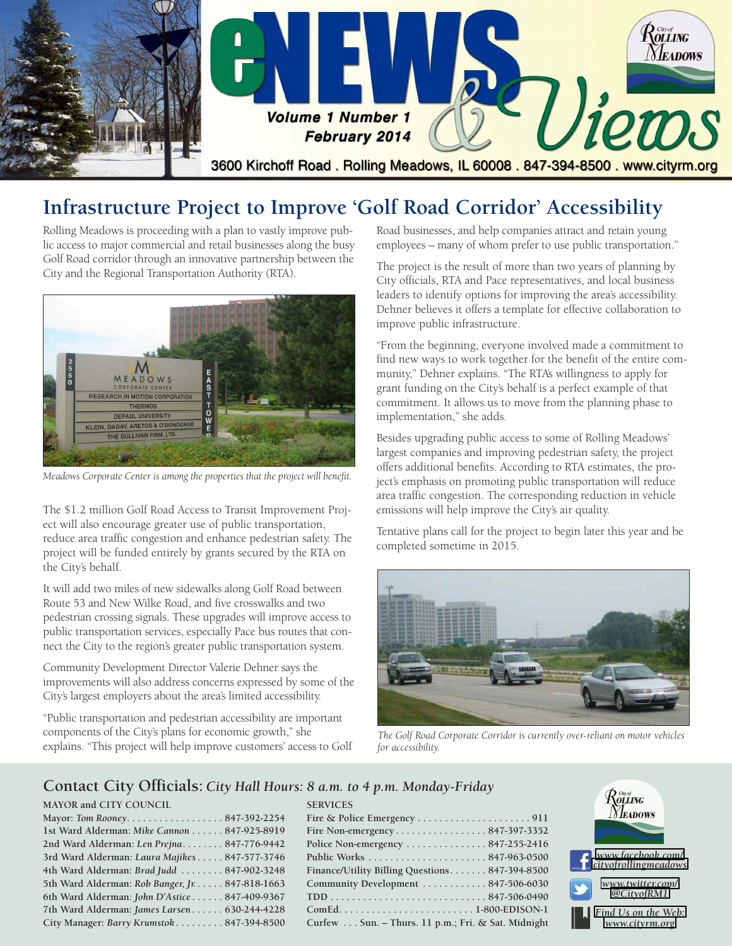

## **Infrastructure Project to Improve 'Golf Road Corridor' Accessibility**

Rolling Meadows is proceeding with a plan to vastly improve public access to major commercial and retail businesses along the busy Golf Road corridor through an innovative partnership between the City and the Regional Transportation Authority (RTA).



*Meadows Corporate Center is among the properties that the project will benefit.*

The \$1.2 million Golf Road Access to Transit Improvement Project will also encourage greater use of public transportation, reduce area traffic congestion and enhance pedestrian safety. The project will be funded entirely by grants secured by the RTA on the City's behalf.

It will add two miles of new sidewalks along Golf Road between Route 53 and New Wilke Road, and five crosswalks and two pedestrian crossing signals. These upgrades will improve access to public transportation services, especially Pace bus routes that connect the City to the region's greater public transportation system.

Community Development Director Valerie Dehner says the improvements will also address concerns expressed by some of the City's largest employers about the area's limited accessibility.

"Public transportation and pedestrian accessibility are important components of the City's plans for economic growth," she explains. "This project will help improve customers' access to Golf Road businesses, and help companies attract and retain young employees – many of whom prefer to use public transportation."

The project is the result of more than two years of planning by City officials, RTA and Pace representatives, and local business leaders to identify options for improving the area's accessibility. Dehner believes it offers a template for effective collaboration to improve public infrastructure.

"From the beginning, everyone involved made a commitment to find new ways to work together for the benefit of the entire community," Dehner explains. "The RTA's willingness to apply for grant funding on the City's behalf is a perfect example of that commitment. It allows us to move from the planning phase to implementation," she adds.

Besides upgrading public access to some of Rolling Meadows' largest companies and improving pedestrian safety, the project offers additional benefits. According to RTA estimates, the project's emphasis on promoting public transportation will reduce area traffic congestion. The corresponding reduction in vehicle emissions will help improve the City's air quality.

Tentative plans call for the project to begin later this year and be completed sometime in 2015.



*The Golf Road Corporate Corridor is currently over-reliant on motor vehicles for accessibility.*

#### **Contact City Officials:** *City Hall Hours: 8 a.m. to 4 p.m. Monday-Friday*

#### **MAYOR and CITY COUNCIL**

| Mayor: Tom Rooney847-392-2254                   |  |
|-------------------------------------------------|--|
| 1st Ward Alderman: Mike Cannon 847-925-8919     |  |
| 2nd Ward Alderman: Len Prejna 847-776-9442      |  |
| 3rd Ward Alderman: Laura Majikes 847-577-3746   |  |
| 4th Ward Alderman: Brad Judd  847-902-3248      |  |
| 5th Ward Alderman: Rob Banger, Jr. 847-818-1663 |  |
| 6th Ward Alderman: John D'Astice 847-409-9367   |  |
| 7th Ward Alderman: James Larsen 630-244-4228    |  |
| City Manager: Barry Krumstok847-394-8500        |  |

| <b>SERVICES</b>                                                   |
|-------------------------------------------------------------------|
|                                                                   |
|                                                                   |
| Police Non-emergency $\dots \dots \dots \dots \dots 847-255-2416$ |
|                                                                   |
| Finance/Utility Billing Questions 847-394-8500                    |
| Community Development  847-506-6030                               |
|                                                                   |
|                                                                   |
| Curfew Sun. - Thurs. 11 p.m.; Fri. & Sat. Midnight                |

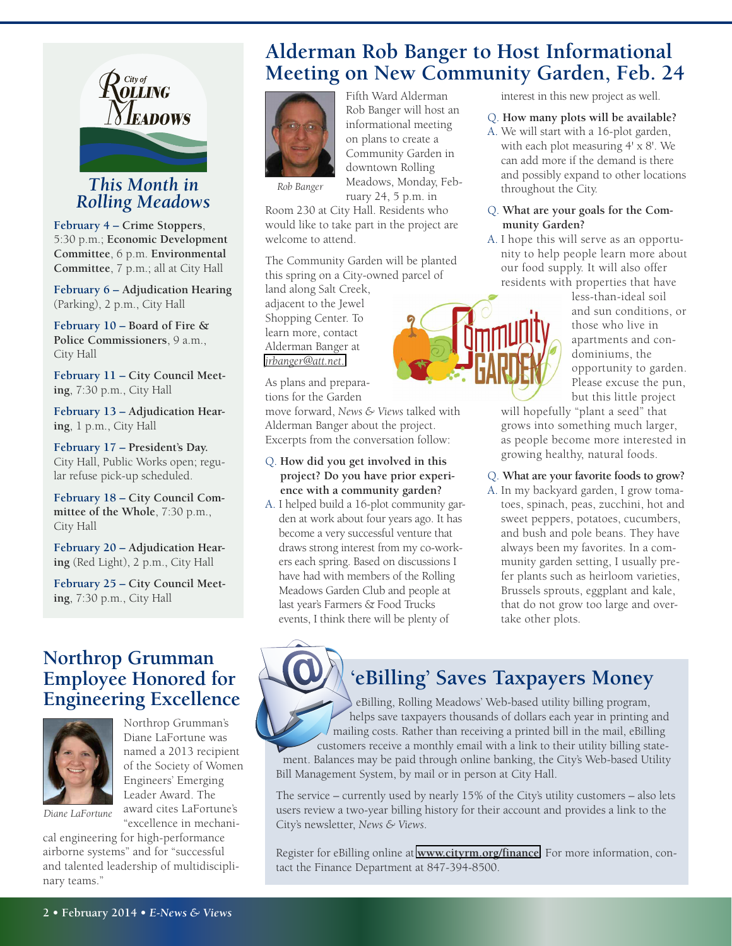

#### *This Month in Rob Banger Rolling Meadows*

**February 4 – Crime Stoppers**, 5:30 p.m.; **Economic Development Committee**, 6 p.m. **Environmental Committee**, 7 p.m.; all at City Hall

**February 6 – Adjudication Hearing** (Parking), 2 p.m., City Hall

**February 10 – Board of Fire & Police Commissioners**, 9 a.m., City Hall

**February 11 – City Council Meeting**, 7:30 p.m., City Hall

**February 13 – Adjudication Hearing**, 1 p.m., City Hall

**February 17 – President's Day.** City Hall, Public Works open; regular refuse pick-up scheduled.

**February 18 – City Council Committee of the Whole**, 7:30 p.m., City Hall

**February 20 – Adjudication Hearing** (Red Light), 2 p.m., City Hall

**February 25 – City Council Meeting**, 7:30 p.m., City Hall

### **Northrop Grumman Employee Honored for Engineering Excellence**



Northrop Grumman's Diane LaFortune was named a 2013 recipient of the Society of Women Engineers' Emerging Leader Award. The award cites LaFortune's "excellence in mechani-

*Diane LaFortune*

cal engineering for high-performance airborne systems" and for "successful and talented leadership of multidisciplinary teams."

### **Alderman Rob Banger to Host Informational Meeting on New Community Garden, Feb. 24**



Fifth Ward Alderman Rob Banger will host an informational meeting on plans to create a Community Garden in downtown Rolling Meadows, Monday, February 24, 5 p.m. in

Room 230 at City Hall. Residents who would like to take part in the project are welcome to attend.

The Community Garden will be planted this spring on a City-owned parcel of

land along Salt Creek, adjacent to the Jewel Shopping Center. To learn more, contact Alderman Banger at *[jrbanger@att.net](mailto:jrbanger@att.net)*.

As plans and preparations for the Garden

move forward, *News & Views* talked with Alderman Banger about the project. Excerpts from the conversation follow:

#### Q. **How did you get involved in this project? Do you have prior experience with a community garden?**

A. I helped build a 16-plot community garden at work about four years ago. It has become a very successful venture that draws strong interest from my co-workers each spring. Based on discussions I have had with members of the Rolling Meadows Garden Club and people at last year's Farmers & Food Trucks events, I think there will be plenty of

interest in this new project as well.

- Q. **How many plots will be available?**
- A. We will start with a 16-plot garden, with each plot measuring 4' x 8'. We can add more if the demand is there and possibly expand to other locations throughout the City.

#### Q. **What are your goals for the Community Garden?**

A. I hope this will serve as an opportunity to help people learn more about our food supply. It will also offer residents with properties that have

less-than-ideal soil and sun conditions, or those who live in apartments and condominiums, the opportunity to garden. Please excuse the pun, but this little project

will hopefully "plant a seed" that grows into something much larger, as people become more interested in growing healthy, natural foods.

Q. **What are your favorite foods to grow?**

A. In my backyard garden, I grow tomatoes, spinach, peas, zucchini, hot and sweet peppers, potatoes, cucumbers, and bush and pole beans. They have always been my favorites. In a community garden setting, I usually prefer plants such as heirloom varieties, Brussels sprouts, eggplant and kale, that do not grow too large and overtake other plots.

# **'eBilling' Saves Taxpayers Money**

eBilling, Rolling Meadows' Web-based utility billing program, helps save taxpayers thousands of dollars each year in printing and mailing costs. Rather than receiving a printed bill in the mail, eBilling customers receive a monthly email with a link to their utility billing state-

ment. Balances may be paid through online banking, the City's Web-based Utility Bill Management System, by mail or in person at City Hall.

The service – currently used by nearly 15% of the City's utility customers – also lets users review a two-year billing history for their account and provides a link to the City's newsletter, *News & Views*.

Register for eBilling online at **<www.cityrm.org/finance>**. For more information, contact the Finance Department at 847-394-8500.

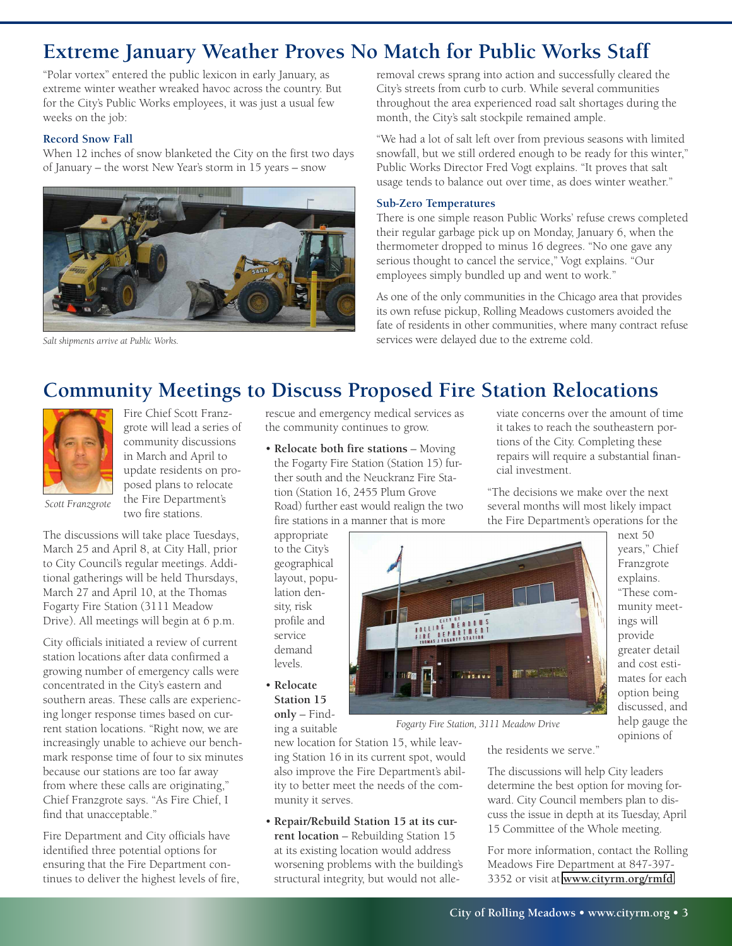## **Extreme January Weather Proves No Match for Public Works Staff**

"Polar vortex" entered the public lexicon in early January, as extreme winter weather wreaked havoc across the country. But for the City's Public Works employees, it was just a usual few weeks on the job:

#### **Record Snow Fall**

When 12 inches of snow blanketed the City on the first two days of January – the worst New Year's storm in 15 years – snow



*Salt shipments arrive at Public Works.*

removal crews sprang into action and successfully cleared the City's streets from curb to curb. While several communities throughout the area experienced road salt shortages during the month, the City's salt stockpile remained ample.

"We had a lot of salt left over from previous seasons with limited snowfall, but we still ordered enough to be ready for this winter," Public Works Director Fred Vogt explains. "It proves that salt usage tends to balance out over time, as does winter weather."

#### **Sub-Zero Temperatures**

There is one simple reason Public Works' refuse crews completed their regular garbage pick up on Monday, January 6, when the thermometer dropped to minus 16 degrees. "No one gave any serious thought to cancel the service," Vogt explains. "Our employees simply bundled up and went to work."

As one of the only communities in the Chicago area that provides its own refuse pickup, Rolling Meadows customers avoided the fate of residents in other communities, where many contract refuse services were delayed due to the extreme cold.

### **Community Meetings to Discuss Proposed Fire Station Relocations**



Fire Chief Scott Franzgrote will lead a series of community discussions in March and April to update residents on proposed plans to relocate the Fire Department's two fire stations.

*Scott Franzgrote*

The discussions will take place Tuesdays, March 25 and April 8, at City Hall, prior to City Council's regular meetings. Additional gatherings will be held Thursdays, March 27 and April 10, at the Thomas Fogarty Fire Station (3111 Meadow Drive). All meetings will begin at 6 p.m.

City officials initiated a review of current station locations after data confirmed a growing number of emergency calls were concentrated in the City's eastern and southern areas. These calls are experiencing longer response times based on current station locations. "Right now, we are increasingly unable to achieve our benchmark response time of four to six minutes because our stations are too far away from where these calls are originating," Chief Franzgrote says. "As Fire Chief, I find that unacceptable."

Fire Department and City officials have identified three potential options for ensuring that the Fire Department continues to deliver the highest levels of fire,

rescue and emergency medical services as the community continues to grow.

• **Relocate both fire stations** – Moving the Fogarty Fire Station (Station 15) further south and the Neuckranz Fire Station (Station 16, 2455 Plum Grove Road) further east would realign the two fire stations in a manner that is more

appropriate to the City's geographical layout, population density, risk profile and service demand levels.

• **Relocate Station 15 only** – Finding a suitable

new location for Station 15, while leaving Station 16 in its current spot, would also improve the Fire Department's ability to better meet the needs of the community it serves.

• **Repair/Rebuild Station 15 at its current location** – Rebuilding Station 15 at its existing location would address worsening problems with the building's structural integrity, but would not alleviate concerns over the amount of time it takes to reach the southeastern portions of the City. Completing these repairs will require a substantial financial investment.

"The decisions we make over the next several months will most likely impact the Fire Department's operations for the



next 50 years," Chief Franzgrote explains. "These community meetings will provide greater detail and cost estimates for each option being discussed, and help gauge the opinions of

*Fogarty Fire Station, 3111 Meadow Drive*

the residents we serve."

The discussions will help City leaders determine the best option for moving forward. City Council members plan to discuss the issue in depth at its Tuesday, April 15 Committee of the Whole meeting.

For more information, contact the Rolling Meadows Fire Department at 847-397- 3352 or visit at **<www.cityrm.org/rmfd>**.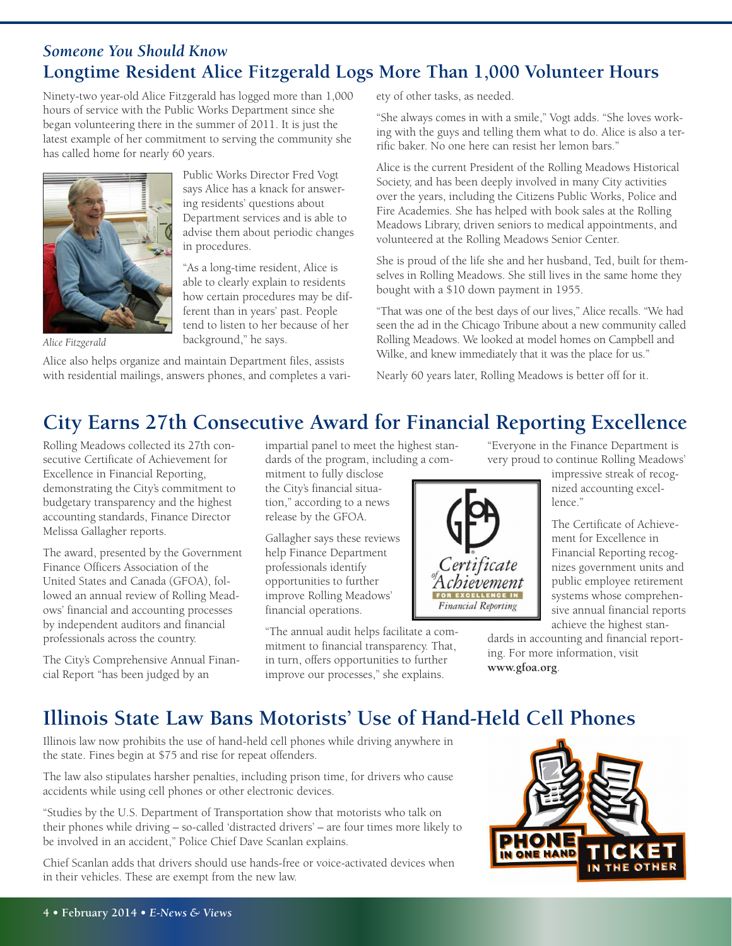#### *Someone You Should Know* **Longtime Resident Alice Fitzgerald Logs More Than 1,000 Volunteer Hours**

Ninety-two year-old Alice Fitzgerald has logged more than 1,000 hours of service with the Public Works Department since she began volunteering there in the summer of 2011. It is just the latest example of her commitment to serving the community she has called home for nearly 60 years.

> Public Works Director Fred Vogt says Alice has a knack for answering residents' questions about Department services and is able to advise them about periodic changes

"As a long-time resident, Alice is able to clearly explain to residents how certain procedures may be different than in years' past. People



*Alice Fitzgerald*

tend to listen to her because of her background," he says.

in procedures.

Alice also helps organize and maintain Department files, assists with residential mailings, answers phones, and completes a variety of other tasks, as needed.

"She always comes in with a smile," Vogt adds. "She loves working with the guys and telling them what to do. Alice is also a terrific baker. No one here can resist her lemon bars."

Alice is the current President of the Rolling Meadows Historical Society, and has been deeply involved in many City activities over the years, including the Citizens Public Works, Police and Fire Academies. She has helped with book sales at the Rolling Meadows Library, driven seniors to medical appointments, and volunteered at the Rolling Meadows Senior Center.

She is proud of the life she and her husband, Ted, built for themselves in Rolling Meadows. She still lives in the same home they bought with a \$10 down payment in 1955.

"That was one of the best days of our lives," Alice recalls. "We had seen the ad in the Chicago Tribune about a new community called Rolling Meadows. We looked at model homes on Campbell and Wilke, and knew immediately that it was the place for us."

Nearly 60 years later, Rolling Meadows is better off for it.

### **City Earns 27th Consecutive Award for Financial Reporting Excellence**

Rolling Meadows collected its 27th consecutive Certificate of Achievement for Excellence in Financial Reporting, demonstrating the City's commitment to budgetary transparency and the highest accounting standards, Finance Director Melissa Gallagher reports.

The award, presented by the Government Finance Officers Association of the United States and Canada (GFOA), followed an annual review of Rolling Meadows' financial and accounting processes by independent auditors and financial professionals across the country.

The City's Comprehensive Annual Financial Report "has been judged by an

impartial panel to meet the highest standards of the program, including a com-

mitment to fully disclose the City's financial situation," according to a news release by the GFOA.

Gallagher says these reviews help Finance Department professionals identify opportunities to further improve Rolling Meadows' financial operations.

"The annual audit helps facilitate a commitment to financial transparency. That, in turn, offers opportunities to further improve our processes," she explains.

"Everyone in the Finance Department is very proud to continue Rolling Meadows'

impressive streak of recognized accounting excellence<sup>"</sup>

The Certificate of Achievement for Excellence in Financial Reporting recognizes government units and public employee retirement systems whose comprehensive annual financial reports achieve the highest stan-

dards in accounting and financial reporting. For more information, visit **www.gfoa.org**.

## **Illinois State Law Bans Motorists' Use of Hand-Held Cell Phones**

Illinois law now prohibits the use of hand-held cell phones while driving anywhere in the state. Fines begin at \$75 and rise for repeat offenders.

The law also stipulates harsher penalties, including prison time, for drivers who cause accidents while using cell phones or other electronic devices.

"Studies by the U.S. Department of Transportation show that motorists who talk on their phones while driving – so-called 'distracted drivers' – are four times more likely to be involved in an accident," Police Chief Dave Scanlan explains.

Chief Scanlan adds that drivers should use hands-free or voice-activated devices when in their vehicles. These are exempt from the new law.



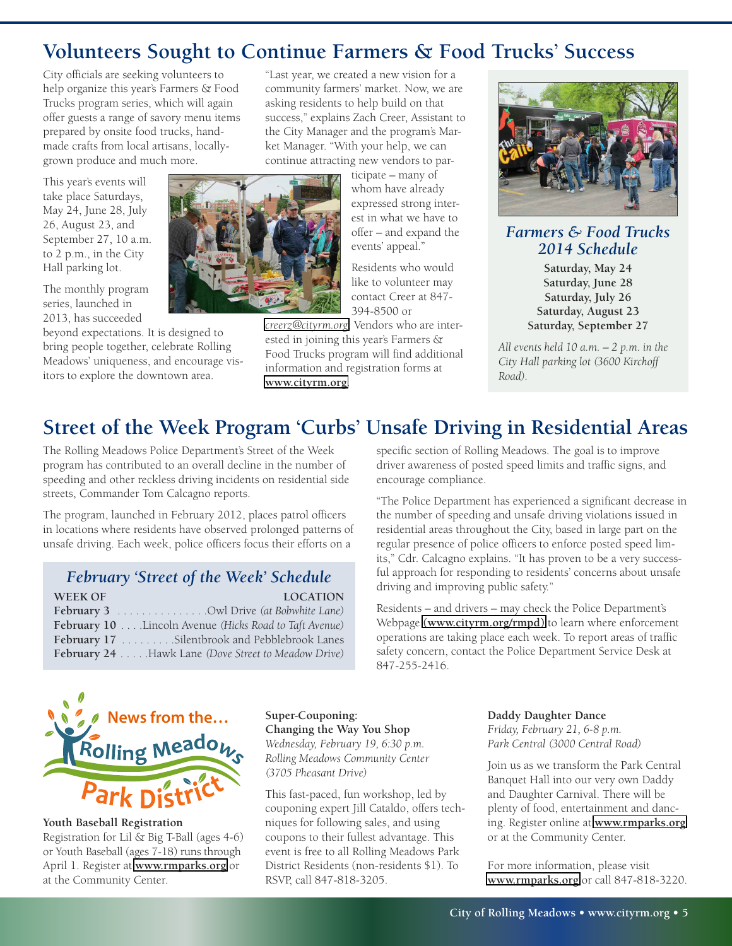### **Volunteers Sought to Continue Farmers & Food Trucks' Success**

City officials are seeking volunteers to help organize this year's Farmers & Food Trucks program series, which will again offer guests a range of savory menu items prepared by onsite food trucks, handmade crafts from local artisans, locallygrown produce and much more.

This year's events will take place Saturdays, May 24, June 28, July 26, August 23, and September 27, 10 a.m. to 2 p.m., in the City Hall parking lot.

The monthly program series, launched in 2013, has succeeded

beyond expectations. It is designed to bring people together, celebrate Rolling Meadows' uniqueness, and encourage visitors to explore the downtown area.

"Last year, we created a new vision for a community farmers' market. Now, we are asking residents to help build on that success," explains Zach Creer, Assistant to the City Manager and the program's Market Manager. "With your help, we can continue attracting new vendors to par-

> ticipate – many of whom have already expressed strong interest in what we have to offer – and expand the events' appeal."

Residents who would like to volunteer may contact Creer at 847- 394-8500 or

*[creerz@cityrm.org](mailto:creerz@cityrm.org)*. Vendors who are interested in joining this year's Farmers & Food Trucks program will find additional information and registration forms at **<www.cityrm.org>**.



#### *Farmers & Food Trucks 2014 Schedule*

**Saturday, May 24 Saturday, June 28 Saturday, July 26 Saturday, August 23 Saturday, September 27**

*All events held 10 a.m. – 2 p.m. in the City Hall parking lot (3600 Kirchoff Road).*

## **Street of the Week Program 'Curbs' Unsafe Driving in Residential Areas**

The Rolling Meadows Police Department's Street of the Week program has contributed to an overall decline in the number of speeding and other reckless driving incidents on residential side streets, Commander Tom Calcagno reports.

The program, launched in February 2012, places patrol officers in locations where residents have observed prolonged patterns of unsafe driving. Each week, police officers focus their efforts on a

| February 'Street of the Week' Schedule                 |                 |
|--------------------------------------------------------|-----------------|
| <b>WEEK OF</b>                                         | <b>LOCATION</b> |
| <b>February 3</b> Owl Drive (at Bobwhite Lane)         |                 |
| February 10 Lincoln Avenue (Hicks Road to Taft Avenue) |                 |

February 17 . . . . . . . . . Silentbrook and Pebblebrook Lanes **February 24** . . . . .Hawk Lane *(Dove Street to Meadow Drive)*

specific section of Rolling Meadows. The goal is to improve driver awareness of posted speed limits and traffic signs, and encourage compliance.

"The Police Department has experienced a significant decrease in the number of speeding and unsafe driving violations issued in residential areas throughout the City, based in large part on the regular presence of police officers to enforce posted speed limits," Cdr. Calcagno explains. "It has proven to be a very successful approach for responding to residents' concerns about unsafe driving and improving public safety."

Residents – and drivers – may check the Police Department's Webpage **[\(www.cityrm.org/rmpd\)](www.cityrm.org/rmpd)** to learn where enforcement operations are taking place each week. To report areas of traffic safety concern, contact the Police Department Service Desk at 847-255-2416.



#### **Youth Baseball Registration**

Registration for Lil & Big T-Ball (ages 4-6) or Youth Baseball (ages 7-18) runs through April 1. Register at **<www.rmparks.org>** or at the Community Center.

**Super-Couponing: Changing the Way You Shop** *Wednesday, February 19, 6:30 p.m. Rolling Meadows Community Center (3705 Pheasant Drive)*

This fast-paced, fun workshop, led by couponing expert Jill Cataldo, offers techniques for following sales, and using coupons to their fullest advantage. This event is free to all Rolling Meadows Park District Residents (non-residents \$1). To RSVP, call 847-818-3205.

**Daddy Daughter Dance** *Friday, February 21, 6-8 p.m. Park Central (3000 Central Road)*

Join us as we transform the Park Central Banquet Hall into our very own Daddy and Daughter Carnival. There will be plenty of food, entertainment and dancing. Register online at **<www.rmparks.org>** or at the Community Center.

For more information, please visit **<www.rmparks.org>** or call 847-818-3220.